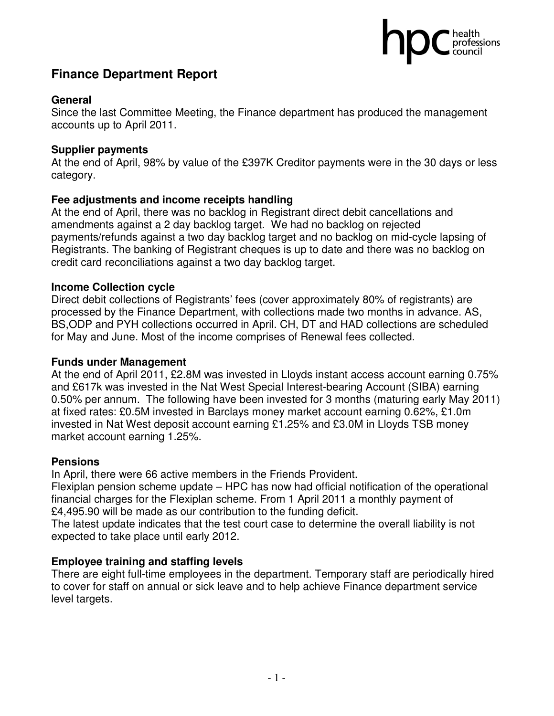# health<br>professions

## **Finance Department Report**

#### **General**

Since the last Committee Meeting, the Finance department has produced the management accounts up to April 2011.

#### **Supplier payments**

At the end of April, 98% by value of the £397K Creditor payments were in the 30 days or less category.

#### **Fee adjustments and income receipts handling**

At the end of April, there was no backlog in Registrant direct debit cancellations and amendments against a 2 day backlog target. We had no backlog on rejected payments/refunds against a two day backlog target and no backlog on mid-cycle lapsing of Registrants. The banking of Registrant cheques is up to date and there was no backlog on credit card reconciliations against a two day backlog target.

#### **Income Collection cycle**

Direct debit collections of Registrants' fees (cover approximately 80% of registrants) are processed by the Finance Department, with collections made two months in advance. AS, BS,ODP and PYH collections occurred in April. CH, DT and HAD collections are scheduled for May and June. Most of the income comprises of Renewal fees collected.

#### **Funds under Management**

At the end of April 2011, £2.8M was invested in Lloyds instant access account earning 0.75% and £617k was invested in the Nat West Special Interest-bearing Account (SIBA) earning 0.50% per annum. The following have been invested for 3 months (maturing early May 2011) at fixed rates: £0.5M invested in Barclays money market account earning 0.62%, £1.0m invested in Nat West deposit account earning £1.25% and £3.0M in Lloyds TSB money market account earning 1.25%.

#### **Pensions**

In April, there were 66 active members in the Friends Provident.

Flexiplan pension scheme update – HPC has now had official notification of the operational financial charges for the Flexiplan scheme. From 1 April 2011 a monthly payment of £4,495.90 will be made as our contribution to the funding deficit.

The latest update indicates that the test court case to determine the overall liability is not expected to take place until early 2012.

#### **Employee training and staffing levels**

There are eight full-time employees in the department. Temporary staff are periodically hired to cover for staff on annual or sick leave and to help achieve Finance department service level targets.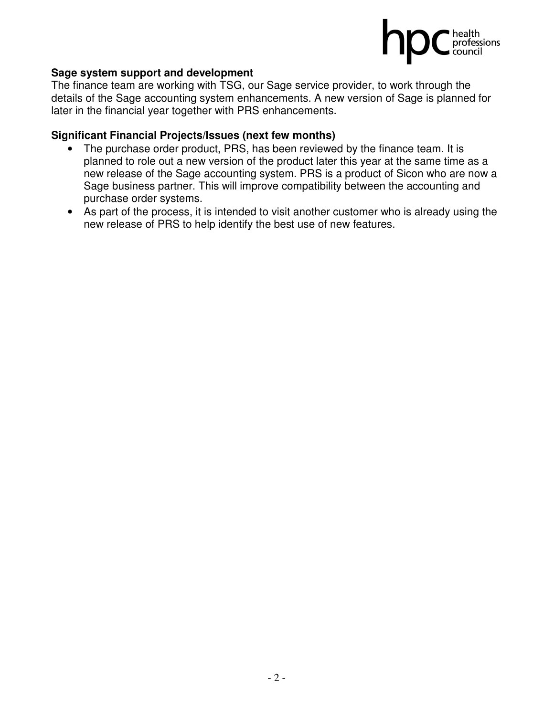

#### **Sage system support and development**

The finance team are working with TSG, our Sage service provider, to work through the details of the Sage accounting system enhancements. A new version of Sage is planned for later in the financial year together with PRS enhancements.

#### **Significant Financial Projects/Issues (next few months)**

- The purchase order product, PRS, has been reviewed by the finance team. It is planned to role out a new version of the product later this year at the same time as a new release of the Sage accounting system. PRS is a product of Sicon who are now a Sage business partner. This will improve compatibility between the accounting and purchase order systems.
- As part of the process, it is intended to visit another customer who is already using the new release of PRS to help identify the best use of new features.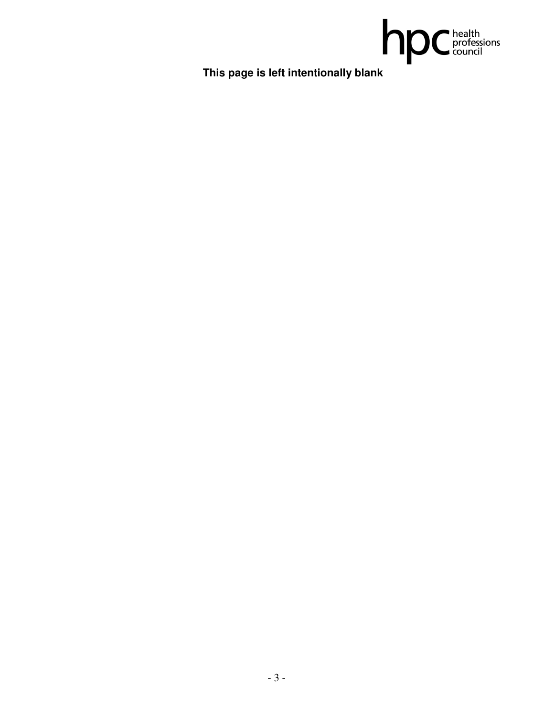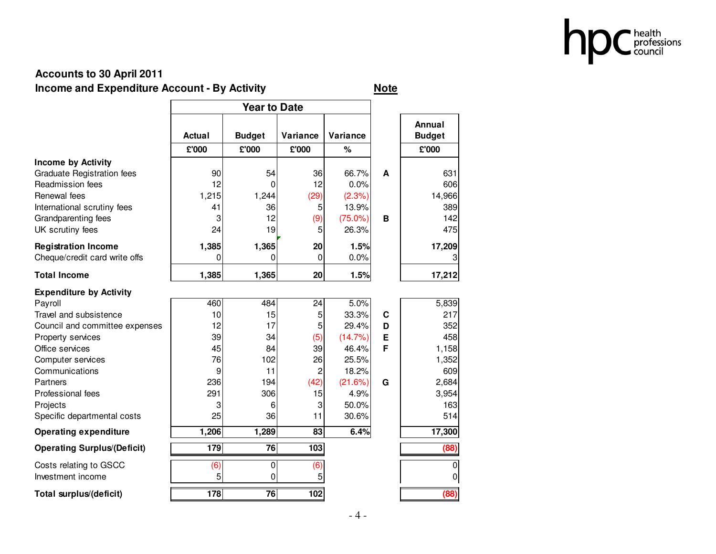

# Accounts to 30 April 2011<br>Income and Expenditure Account - By Activity <u>Note</u>

|                                    |               | <b>Year to Date</b> |                 |            |   |                         |
|------------------------------------|---------------|---------------------|-----------------|------------|---|-------------------------|
|                                    | <b>Actual</b> | <b>Budget</b>       | Variance        | Variance   |   | Annual<br><b>Budget</b> |
|                                    | £'000         | £'000               | £'000           | %          |   | £'000                   |
| <b>Income by Activity</b>          |               |                     |                 |            |   |                         |
| <b>Graduate Registration fees</b>  | 90            | 54                  | 36              | 66.7%      | A | 631                     |
| Readmission fees                   | 12            | 0                   | 12              | 0.0%       |   | 606                     |
| Renewal fees                       | 1,215         | 1,244               | (29)            | (2.3%)     |   | 14,966                  |
| International scrutiny fees        | 41            | 36                  | 5               | 13.9%      |   | 389                     |
| Grandparenting fees                | 3             | 12                  | (9)             | $(75.0\%)$ | B | 142                     |
| UK scrutiny fees                   | 24            | 19                  | 5               | 26.3%      |   | 475                     |
| <b>Registration Income</b>         | 1,385         | 1,365               | 20              | 1.5%       |   | 17,209                  |
| Cheque/credit card write offs      | 0             | O                   | 0               | 0.0%       |   |                         |
| <b>Total Income</b>                | 1,385         | 1,365               | 20              | 1.5%       |   | 17,212                  |
| <b>Expenditure by Activity</b>     |               |                     |                 |            |   |                         |
| Payroll                            | 460           | 484                 | 24              | 5.0%       |   | 5,839                   |
| Travel and subsistence             | 10            | 15                  | 5               | 33.3%      | C | 217                     |
| Council and committee expenses     | 12            | 17                  | 5               | 29.4%      | D | 352                     |
| Property services                  | 39            | 34                  | (5)             | (14.7%)    | E | 458                     |
| Office services                    | 45            | 84                  | 39              | 46.4%      | F | 1,158                   |
| Computer services                  | 76            | 102                 | 26              | 25.5%      |   | 1,352                   |
| Communications                     | 9             | 11                  | 2               | 18.2%      |   | 609                     |
| Partners                           | 236           | 194                 | (42)            | (21.6%)    | G | 2,684                   |
| Professional fees                  | 291           | 306                 | 15              | 4.9%       |   | 3,954                   |
| Projects                           | 3             | 6                   | 3               | 50.0%      |   | 163                     |
| Specific departmental costs        | 25            | 36                  | 11              | 30.6%      |   | 514                     |
| <b>Operating expenditure</b>       | 1,206         | 1,289               | $\overline{83}$ | 6.4%       |   | 17,300                  |
| <b>Operating Surplus/(Deficit)</b> | 179           | $\overline{76}$     | 103             |            |   | (88)                    |
| Costs relating to GSCC             | (6)           | $\overline{0}$      | (6)             |            |   | $\overline{0}$          |
| Investment income                  | 5             | 0                   | 5               |            |   | $\pmb{0}$               |
| Total surplus/(deficit)            | 178           | 76                  | 102             |            |   | (88)                    |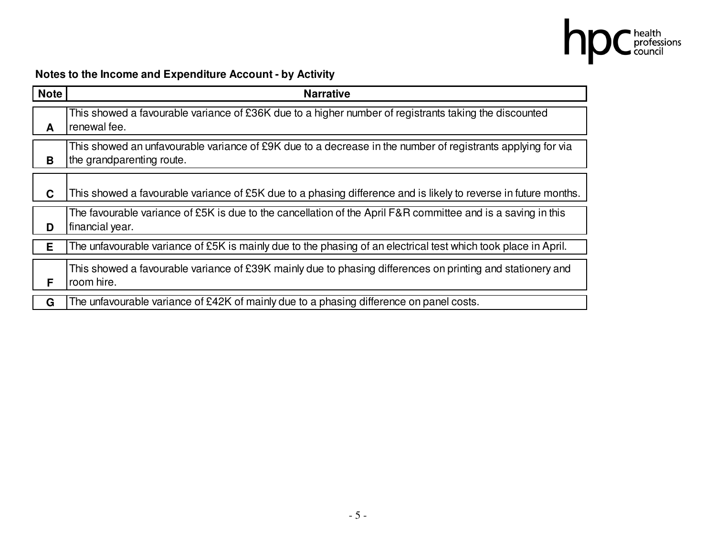

# **Notes to the Income and Expenditure Account - by Activity**

| <b>Note</b> | <b>Narrative</b>                                                                                                                         |
|-------------|------------------------------------------------------------------------------------------------------------------------------------------|
| A           | This showed a favourable variance of £36K due to a higher number of registrants taking the discounted<br>renewal fee.                    |
| B           | This showed an unfavourable variance of £9K due to a decrease in the number of registrants applying for via<br>the grandparenting route. |
| C           | This showed a favourable variance of £5K due to a phasing difference and is likely to reverse in future months.                          |
| D           | The favourable variance of £5K is due to the cancellation of the April F&R committee and is a saving in this<br>financial year.          |
| Е           | The unfavourable variance of £5K is mainly due to the phasing of an electrical test which took place in April.                           |
| F           | This showed a favourable variance of £39K mainly due to phasing differences on printing and stationery and<br>room hire.                 |
| G           | The unfavourable variance of £42K of mainly due to a phasing difference on panel costs.                                                  |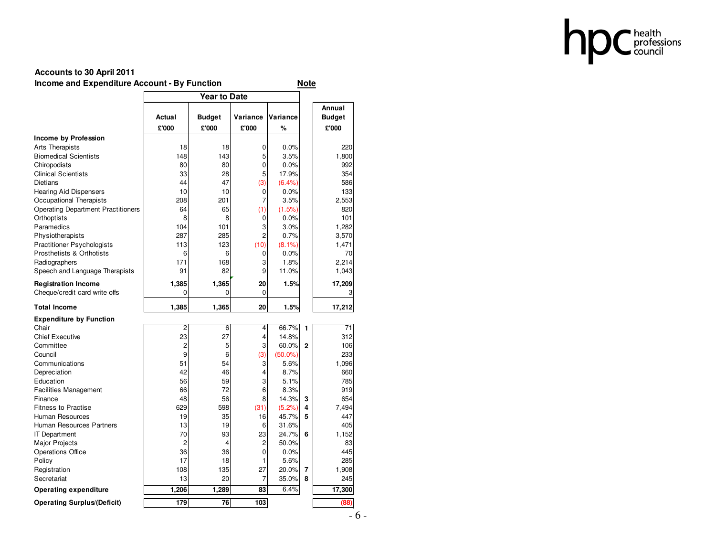

#### **Accounts to 30 April 2011Income and Expenditure Account - By Function Note**

|                                            |                |               |                | Annual       |                |               |
|--------------------------------------------|----------------|---------------|----------------|--------------|----------------|---------------|
|                                            | <b>Actual</b>  | <b>Budget</b> | Variance       | Variance     |                | <b>Budget</b> |
|                                            | £'000          | £'000         | £'000          | %            |                | £'000         |
| Income by Profession                       |                |               |                |              |                |               |
| Arts Therapists                            | 18             | 18            | 0              | 0.0%         |                | 220           |
| <b>Biomedical Scientists</b>               | 148<br>80      | 143<br>80     | 5<br>0         | 3.5%<br>0.0% |                | 1,800<br>992  |
| Chiropodists<br><b>Clinical Scientists</b> | 33             | 28            | 5              | 17.9%        |                | 354           |
| <b>Dietians</b>                            | 44             | 47            | (3)            | (6.4%)       |                | 586           |
| <b>Hearing Aid Dispensers</b>              | 10             | 10            | 0              | 0.0%         |                | 133           |
| Occupational Therapists                    | 208            | 201           | $\overline{7}$ | 3.5%         |                | 2,553         |
| <b>Operating Department Practitioners</b>  | 64             | 65            | (1)            | $(1.5\%)$    |                | 820           |
| Orthoptists                                | 8              | 8             | 0              | 0.0%         |                | 101           |
| Paramedics                                 | 104            | 101           | 3              | 3.0%         |                | 1,282         |
| Physiotherapists                           | 287            | 285           | $\overline{2}$ | 0.7%         |                | 3,570         |
| <b>Practitioner Psychologists</b>          | 113            | 123           | (10)           | $(8.1\%)$    |                | 1,471         |
| Prosthetists & Orthotists                  | 6              | 6             | 0              | 0.0%         |                | 70            |
| Radiographers                              | 171            | 168           | 3              | 1.8%         |                | 2,214         |
| Speech and Language Therapists             | 91             | 82            | 9              | 11.0%        |                | 1,043         |
| <b>Registration Income</b>                 | 1,385          | 1,365         | 20             | 1.5%         |                | 17,209        |
| Cheque/credit card write offs              | 0              | 0             | $\mathbf 0$    |              |                | 3             |
| <b>Total Income</b>                        | 1,385          | 1,365         | 20             | 1.5%         |                | 17,212        |
| <b>Expenditure by Function</b>             |                |               |                |              |                |               |
| Chair                                      | 2              | 6             | 4              | 66.7%        | 1              | 71            |
| <b>Chief Executive</b>                     | 23             | 27            | 4              | 14.8%        |                | 312           |
| Committee                                  | $\overline{c}$ | 5             | 3              | 60.0%        | $\overline{2}$ | 106           |
| Council                                    | 9              | 6             | (3)            | $(50.0\%)$   |                | 233           |
| Communications                             | 51             | 54            | 3              | 5.6%         |                | 1,096         |
| Depreciation                               | 42             | 46            | 4              | 8.7%         |                | 660           |
| Education                                  | 56<br>66       | 59<br>72      | 3<br>6         | 5.1%<br>8.3% |                | 785<br>919    |
| <b>Facilities Management</b><br>Finance    | 48             | 56            | 8              | 14.3%        | 3              | 654           |
| <b>Fitness to Practise</b>                 | 629            | 598           | (31)           | $(5.2\%)$    | 4              | 7,494         |
| Human Resources                            | 19             | 35            | 16             | 45.7%        | 5              | 447           |
| Human Resources Partners                   | 13             | 19            | 6              | 31.6%        |                | 405           |
| <b>IT Department</b>                       | 70             | 93            | 23             | 24.7%        | 6              | 1,152         |
| Major Projects                             | 2              | 4             | $\overline{c}$ | 50.0%        |                | 83            |
| <b>Operations Office</b>                   | 36             | 36            | 0              | 0.0%         |                | 445           |
|                                            |                |               |                |              |                |               |
| Policy                                     | 17             | 18            | 1              | 5.6%         |                | 285           |
| Registration                               | 108            | 135           | 27             | 20.0%        | 7              | 1,908         |
| Secretariat                                | 13             | 20            | 7              | 35.0%        | 8              | 245           |
| <b>Operating expenditure</b>               | 1,206          | 1,289         | 83             | 6.4%         |                | 17,300        |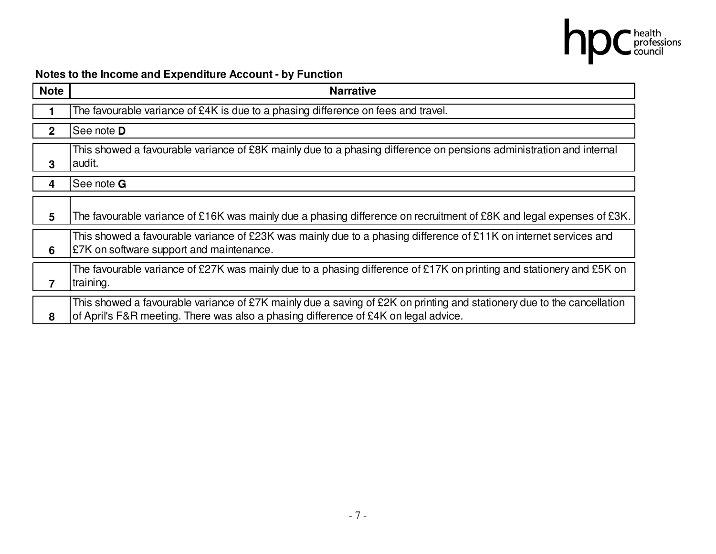

# **Notes to the Income and Expenditure Account - by Function**

| <b>Note</b>    | <b>Narrative</b>                                                                                                                                                                                              |
|----------------|---------------------------------------------------------------------------------------------------------------------------------------------------------------------------------------------------------------|
|                | The favourable variance of £4K is due to a phasing difference on fees and travel.                                                                                                                             |
| $\mathbf{2}$   | See note <b>D</b>                                                                                                                                                                                             |
| 3              | This showed a favourable variance of £8K mainly due to a phasing difference on pensions administration and internal<br>audit.                                                                                 |
| 4              | See note G                                                                                                                                                                                                    |
| $5\phantom{1}$ | The favourable variance of £16K was mainly due a phasing difference on recruitment of £8K and legal expenses of £3K.                                                                                          |
| 6              | This showed a favourable variance of £23K was mainly due to a phasing difference of £11K on internet services and<br>E7K on software support and maintenance.                                                 |
|                | The favourable variance of £27K was mainly due to a phasing difference of £17K on printing and stationery and £5K on<br>training.                                                                             |
| 8              | This showed a favourable variance of £7K mainly due a saving of £2K on printing and stationery due to the cancellation<br>of April's F&R meeting. There was also a phasing difference of £4K on legal advice. |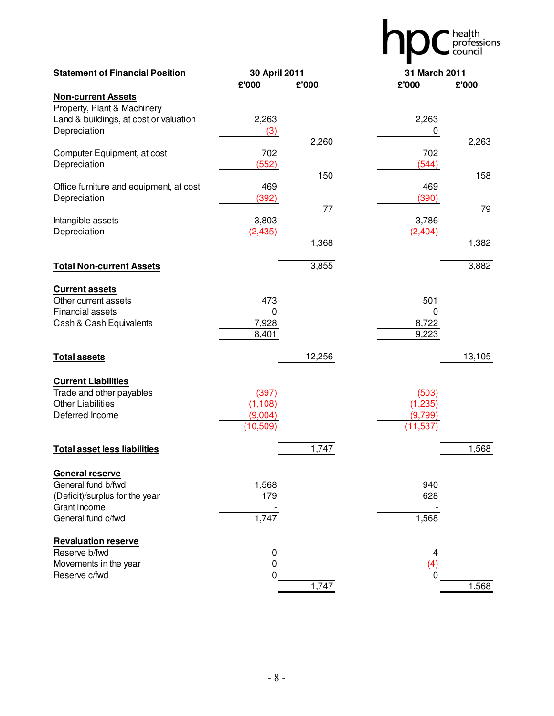|                                                                                                               |                                           |        |                                           | health<br>professions |  |  |
|---------------------------------------------------------------------------------------------------------------|-------------------------------------------|--------|-------------------------------------------|-----------------------|--|--|
| <b>Statement of Financial Position</b>                                                                        | 30 April 2011<br>£'000                    | £'000  | 31 March 2011<br>£'000<br>£'000           |                       |  |  |
| <b>Non-current Assets</b><br>Property, Plant & Machinery                                                      |                                           |        |                                           |                       |  |  |
| Land & buildings, at cost or valuation<br>Depreciation                                                        | 2,263<br>(3)                              |        | 2,263<br>0                                |                       |  |  |
| Computer Equipment, at cost<br>Depreciation                                                                   | 702                                       | 2,260  | 702                                       | 2,263                 |  |  |
| Office furniture and equipment, at cost                                                                       | (552)<br>469                              | 150    | (544)<br>469                              | 158                   |  |  |
| Depreciation                                                                                                  | (392)                                     | 77     | (390)                                     | 79                    |  |  |
| Intangible assets<br>Depreciation                                                                             | 3,803<br>(2, 435)                         |        | 3,786<br>(2, 404)                         |                       |  |  |
|                                                                                                               |                                           | 1,368  |                                           | 1,382                 |  |  |
| <b>Total Non-current Assets</b>                                                                               |                                           | 3,855  |                                           | 3,882                 |  |  |
| <b>Current assets</b><br>Other current assets<br>Financial assets<br>Cash & Cash Equivalents                  | 473<br>0<br>7,928<br>8,401                |        | 501<br>0<br>8,722<br>9,223                |                       |  |  |
| <b>Total assets</b>                                                                                           |                                           | 12,256 |                                           | 13,105                |  |  |
| <b>Current Liabilities</b><br>Trade and other payables<br><b>Other Liabilities</b><br>Deferred Income         | (397)<br>(1, 108)<br>(9,004)<br>(10, 509) |        | (503)<br>(1, 235)<br>(9,799)<br>(11, 537) |                       |  |  |
| <b>Total asset less liabilities</b>                                                                           |                                           | 1,747  |                                           | 1,568                 |  |  |
| General reserve<br>General fund b/fwd<br>(Deficit)/surplus for the year<br>Grant income<br>General fund c/fwd | 1,568<br>179<br>1,747                     |        | 940<br>628<br>1,568                       |                       |  |  |
| <b>Revaluation reserve</b><br>Reserve b/fwd<br>Movements in the year<br>Reserve c/fwd                         | $\pmb{0}$<br>$\pmb{0}$<br>$\mathbf 0$     | 1,747  | 4<br>(4)<br>0                             | 1,568                 |  |  |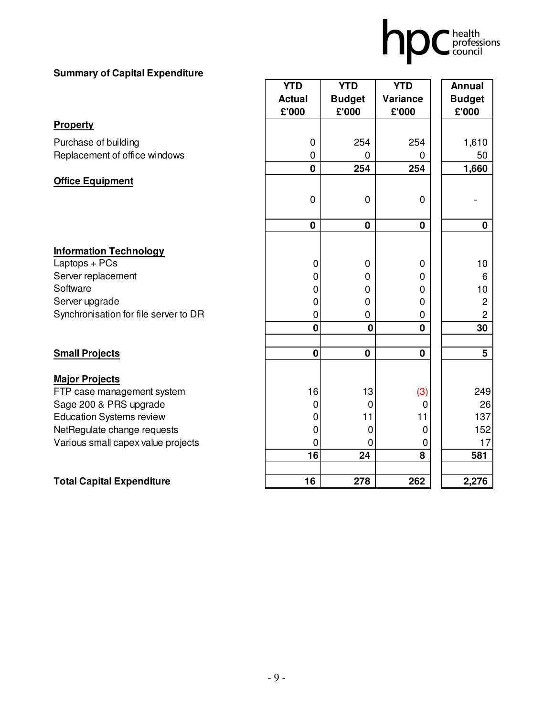

#### **Summary of Capital Expenditure**

#### **Property**

#### **Office Equipment**

#### **Small Projects**

#### **Major Projects**

#### **Total Capital Expenditure**

|             |                                                                                                                            |                                                                                                     |                                                                               | <b>Annual</b>  |
|-------------|----------------------------------------------------------------------------------------------------------------------------|-----------------------------------------------------------------------------------------------------|-------------------------------------------------------------------------------|----------------|
|             |                                                                                                                            |                                                                                                     |                                                                               | <b>Budget</b>  |
|             |                                                                                                                            |                                                                                                     |                                                                               | £'000          |
|             |                                                                                                                            |                                                                                                     |                                                                               |                |
| $\pmb{0}$   | 254                                                                                                                        | 254                                                                                                 |                                                                               | 1,610          |
| $\pmb{0}$   | 0                                                                                                                          | 0                                                                                                   |                                                                               | 50             |
|             |                                                                                                                            |                                                                                                     |                                                                               | 1,660          |
|             |                                                                                                                            |                                                                                                     |                                                                               |                |
| $\pmb{0}$   | $\mathbf 0$                                                                                                                | $\mathbf 0$                                                                                         |                                                                               |                |
|             |                                                                                                                            |                                                                                                     |                                                                               |                |
|             |                                                                                                                            |                                                                                                     |                                                                               | $\mathbf 0$    |
|             |                                                                                                                            |                                                                                                     |                                                                               |                |
|             |                                                                                                                            |                                                                                                     |                                                                               | 10             |
|             |                                                                                                                            |                                                                                                     |                                                                               | 6              |
| $\mathbf 0$ | 0                                                                                                                          | 0                                                                                                   |                                                                               | 10             |
| 0           | 0                                                                                                                          | 0                                                                                                   |                                                                               | $\overline{c}$ |
| $\mathbf 0$ | $\mathbf 0$                                                                                                                | 0                                                                                                   |                                                                               | $\overline{c}$ |
| $\mathbf 0$ | $\mathbf 0$                                                                                                                | $\mathbf 0$                                                                                         |                                                                               | 30             |
|             |                                                                                                                            |                                                                                                     |                                                                               |                |
|             |                                                                                                                            |                                                                                                     |                                                                               | 5              |
|             |                                                                                                                            |                                                                                                     |                                                                               |                |
| 16          | 13                                                                                                                         |                                                                                                     |                                                                               | 249            |
| $\mathbf 0$ | $\mathbf 0$                                                                                                                | $\mathbf 0$                                                                                         |                                                                               | 26             |
| $\mathbf 0$ | 11                                                                                                                         | 11                                                                                                  |                                                                               | 137            |
| $\mathbf 0$ | 0                                                                                                                          | 0                                                                                                   |                                                                               | 152            |
| $\mathbf 0$ | 0                                                                                                                          | 0                                                                                                   |                                                                               | 17             |
|             |                                                                                                                            |                                                                                                     |                                                                               | 581            |
| 16          | 278                                                                                                                        | 262                                                                                                 |                                                                               | 2,276          |
|             | <b>YTD</b><br><b>Actual</b><br>£'000<br>$\mathbf 0$<br>$\mathbf 0$<br>$\mathbf 0$<br>$\mathbf 0$<br>$\boldsymbol{0}$<br>16 | <b>YTD</b><br><b>Budget</b><br>£'000<br>254<br>$\mathbf 0$<br>$\mathbf 0$<br>0<br>$\mathbf 0$<br>24 | <b>YTD</b><br>Variance<br>£'000<br>254<br>$\bf{0}$<br>0<br>0<br>0<br>(3)<br>8 |                |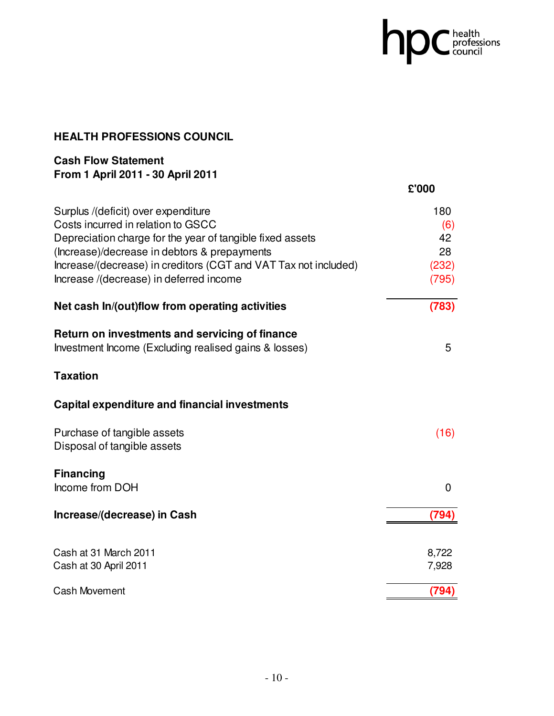# **hpC** professions

### **HEALTH PROFESSIONS COUNCIL**

### **Cash Flow Statement From 1 April 2011 - 30 April 2011**

|                                                                 | £'000 |
|-----------------------------------------------------------------|-------|
| Surplus /(deficit) over expenditure                             | 180   |
| Costs incurred in relation to GSCC                              | (6)   |
| Depreciation charge for the year of tangible fixed assets       | 42    |
| (Increase)/decrease in debtors & prepayments                    | 28    |
| Increase/(decrease) in creditors (CGT and VAT Tax not included) | (232) |
| Increase /(decrease) in deferred income                         | (795) |
| Net cash In/(out)flow from operating activities                 | (783) |
| Return on investments and servicing of finance                  |       |
| Investment Income (Excluding realised gains & losses)           | 5     |
| <b>Taxation</b>                                                 |       |
| <b>Capital expenditure and financial investments</b>            |       |
| Purchase of tangible assets                                     | (16)  |
| Disposal of tangible assets                                     |       |
| <b>Financing</b>                                                |       |
| Income from DOH                                                 | 0     |
| Increase/(decrease) in Cash                                     | (794) |
|                                                                 |       |
| Cash at 31 March 2011                                           | 8,722 |
| Cash at 30 April 2011                                           | 7,928 |
| <b>Cash Movement</b>                                            | (794) |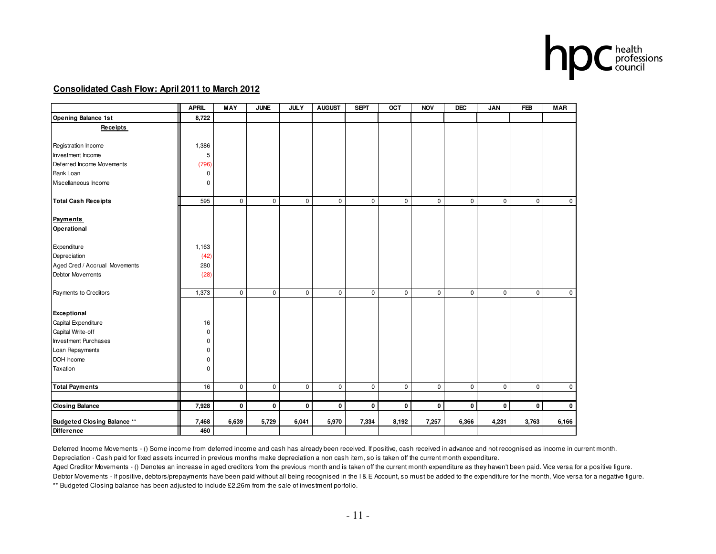

#### **Consolidated Cash Flow: April 2011 to March 2012**

|                                    | <b>APRIL</b> | MAY         | <b>JUNE</b> | <b>JULY</b> | <b>AUGUST</b> | <b>SEPT</b>  | OCT         | <b>NOV</b>  | <b>DEC</b>  | <b>JAN</b>   | <b>FEB</b>  | <b>MAR</b>  |
|------------------------------------|--------------|-------------|-------------|-------------|---------------|--------------|-------------|-------------|-------------|--------------|-------------|-------------|
| <b>Opening Balance 1st</b>         | 8,722        |             |             |             |               |              |             |             |             |              |             |             |
| Receipts                           |              |             |             |             |               |              |             |             |             |              |             |             |
|                                    |              |             |             |             |               |              |             |             |             |              |             |             |
| Registration Income                | 1,386        |             |             |             |               |              |             |             |             |              |             |             |
| Investment Income                  | 5            |             |             |             |               |              |             |             |             |              |             |             |
| Deferred Income Movements          | (796)        |             |             |             |               |              |             |             |             |              |             |             |
| <b>Bank Loan</b>                   | $\mathsf 0$  |             |             |             |               |              |             |             |             |              |             |             |
| Miscellaneous Income               | 0            |             |             |             |               |              |             |             |             |              |             |             |
| <b>Total Cash Receipts</b>         | 595          | $\mathbf 0$ | $\mathbf 0$ | $\mathbf 0$ | $\pmb{0}$     | $\mathsf 0$  | $\mathbf 0$ | 0           | $\mathsf 0$ | $\mathsf{O}$ | $\mathbf 0$ | $\mathbf 0$ |
| Payments                           |              |             |             |             |               |              |             |             |             |              |             |             |
| Operational                        |              |             |             |             |               |              |             |             |             |              |             |             |
| Expenditure                        | 1,163        |             |             |             |               |              |             |             |             |              |             |             |
| Depreciation                       | (42)         |             |             |             |               |              |             |             |             |              |             |             |
| Aged Cred / Accrual Movements      | 280          |             |             |             |               |              |             |             |             |              |             |             |
| Debtor Movements                   | (28)         |             |             |             |               |              |             |             |             |              |             |             |
| Payments to Creditors              | 1,373        | $\mathbf 0$ | $\mathbf 0$ | $\mathsf 0$ | $\mathsf 0$   | $\mathbf 0$  | $\mathsf 0$ | $\mathbf 0$ | $\mathsf 0$ | $\mathsf{O}$ | $\mathbf 0$ | $\mathbf 0$ |
| Exceptional                        |              |             |             |             |               |              |             |             |             |              |             |             |
| Capital Expenditure                | 16           |             |             |             |               |              |             |             |             |              |             |             |
| Capital Write-off                  | $\pmb{0}$    |             |             |             |               |              |             |             |             |              |             |             |
| <b>Investment Purchases</b>        | 0            |             |             |             |               |              |             |             |             |              |             |             |
| Loan Repayments                    | 0            |             |             |             |               |              |             |             |             |              |             |             |
| DOH Income                         | 0            |             |             |             |               |              |             |             |             |              |             |             |
| Taxation                           | 0            |             |             |             |               |              |             |             |             |              |             |             |
| <b>Total Payments</b>              | 16           | $\mathbf 0$ | $\mathbf 0$ | $\mathsf 0$ | $\pmb{0}$     | $\mathsf 0$  | $\mathbf 0$ | 0           | $\mathsf 0$ | 0            | $\mathsf 0$ | $\mathbf 0$ |
|                                    |              |             |             |             |               |              |             |             |             |              |             |             |
| <b>Closing Balance</b>             | 7,928        | $\mathbf 0$ | 0           | 0           | 0             | $\mathbf{0}$ | 0           | 0           | $\mathbf 0$ | 0            | 0           | 0           |
| <b>Budgeted Closing Balance **</b> | 7,468        | 6,639       | 5,729       | 6,041       | 5,970         | 7,334        | 8,192       | 7,257       | 6,366       | 4,231        | 3,763       | 6,166       |
| Difference                         | 460          |             |             |             |               |              |             |             |             |              |             |             |

Deferred Income Movements - () Some income from deferred income and cash has already been received. If positive, cash received in advance and not recognised as income in current month.Depreciation - Cash paid for fixed assets incurred in previous months make depreciation a non cash item, so is taken off the current month expenditure.

Aged Creditor Movements - () Denotes an increase in aged creditors from the previous month and is taken off the current month expenditure as they haven't been paid. Vice versa for a positive figure.

Debtor Movements - If positive, debtors/prepayments have been paid without all being recognised in the I & E Account, so must be added to the expenditure for the month, Vice versa for a negative figure. \*\* Budgeted Closing balance has been adjusted to include £2.26m from the sale of investment porfolio.